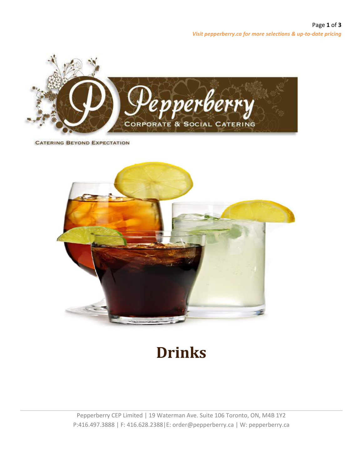

**CATERING BEYOND EXPECTATION** 



## **Drinks**

Pepperberry CEP Limited | 19 Waterman Ave. Suite 106 Toronto, ON, M4B 1Y2 P:416.497.3888 | F: 416.628.2388|E: order@pepperberry.ca | W: pepperberry.ca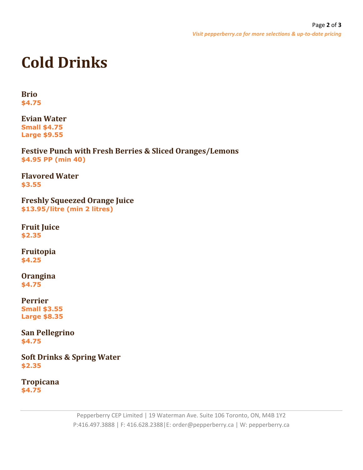### **Cold Drinks**

#### **Brio \$4.75**

**Evian Water Small \$4.75 Large \$9.55**

**Festive Punch with Fresh Berries & Sliced Oranges/Lemons \$4.95 PP (min 40)**

**Flavored Water \$3.55**

**Freshly Squeezed Orange Juice \$13.95/litre (min 2 litres)**

**Fruit Juice \$2.35**

**Fruitopia \$4.25**

**Orangina \$4.75**

**Perrier Small \$3.55 Large \$8.35**

**San Pellegrino \$4.75**

**Soft Drinks & Spring Water \$2.35**

**Tropicana \$4.75**